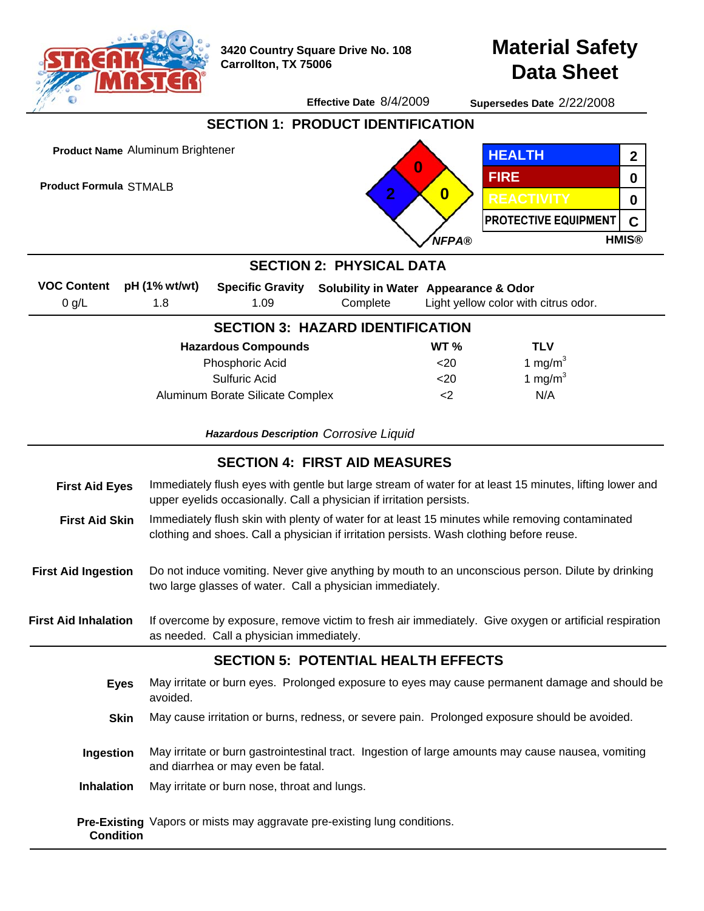

**3420 Country Square Drive No. 108 Carrollton, TX 75006**

**Material Safety Data Sheet**

**Effective Date** 8/4/2009 **Supersedes Date** 2/22/2008

**SECTION 1: PRODUCT IDENTIFICATION Product Name** Aluminum Brightener **HEALTH 2 0 FIRE 0 Product Formula** STMALB**2 0 REACTIVITY 0 PROTECTIVE EQUIPMENT C** *NFPA®* **HMIS® SECTION 2: PHYSICAL DATA pH (1% wt/wt) VOC Content Specific Gravity Solubility in Water Appearance & Odor**  $0$  g/L 1.8 1.09 **Complete** Light yellow color with citrus odor. **SECTION 3: HAZARD IDENTIFICATION Hazardous Compounds WT % TLV** Phosphoric Acid  $<sub>20</sub>$ </sub> 1 mg/ $m<sup>3</sup>$ Sulfuric Acid  $<20$ 1 mg/ $m<sup>3</sup>$ Aluminum Borate Silicate Complex  $<sub>2</sub>$ </sub> N/A *Hazardous Description Corrosive Liquid* **SECTION 4: FIRST AID MEASURES First Aid Eyes** Immediately flush eyes with gentle but large stream of water for at least 15 minutes, lifting lower and upper eyelids occasionally. Call a physician if irritation persists. Immediately flush skin with plenty of water for at least 15 minutes while removing contaminated **First Aid Skin** clothing and shoes. Call a physician if irritation persists. Wash clothing before reuse. **First Aid Ingestion** Do not induce vomiting. Never give anything by mouth to an unconscious person. Dilute by drinking two large glasses of water. Call a physician immediately. **First Aid Inhalation** If overcome by exposure, remove victim to fresh air immediately. Give oxygen or artificial respiration as needed. Call a physician immediately. **SECTION 5: POTENTIAL HEALTH EFFECTS** May irritate or burn eyes. Prolonged exposure to eyes may cause permanent damage and should be **Eyes** avoided. **Skin** May cause irritation or burns, redness, or severe pain. Prolonged exposure should be avoided. May irritate or burn gastrointestinal tract. Ingestion of large amounts may cause nausea, vomiting **Ingestion** and diarrhea or may even be fatal. **Inhalation** May irritate or burn nose, throat and lungs.

**Pre-Existing** Vapors or mists may aggravate pre-existing lung conditions. **Condition**